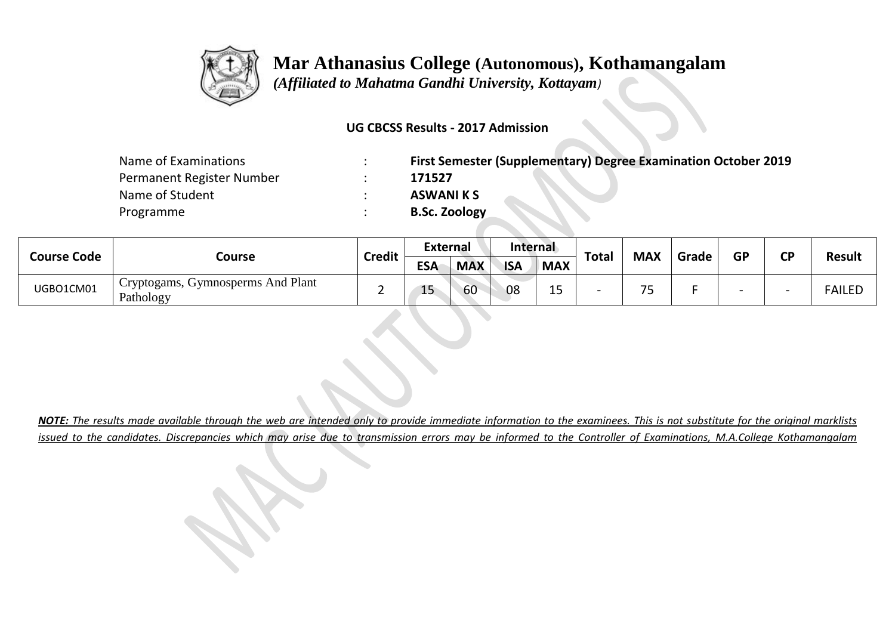

 *(Affiliated to Mahatma Gandhi University, Kottayam)*

#### **UG CBCSS Results - 2017 Admission**

| Name of Examinations      | First Semester (Supplementary) Degree Examination October 2019 |
|---------------------------|----------------------------------------------------------------|
| Permanent Register Number | 171527                                                         |
| Name of Student           | <b>ASWANI KS</b>                                               |
| Programme                 | <b>B.Sc. Zoology</b>                                           |

| <b>Course Code</b> |                                                             |               | <b>External</b> |            | Internal   |             |              |                          | GP    |  | СD |               |
|--------------------|-------------------------------------------------------------|---------------|-----------------|------------|------------|-------------|--------------|--------------------------|-------|--|----|---------------|
|                    | Course                                                      | <b>Credit</b> | <b>ESA</b>      | <b>MAX</b> | <b>ISA</b> | <b>MAX</b>  | <b>Total</b> | <b>MAX</b>               | Grade |  |    | <b>Result</b> |
| UGBO1CM01          | <sup>1</sup> Cryptogams, Gymnosperms And Plant<br>Pathology | -             | 15              | 60         | 08         | - 1 F<br>-- |              | $\overline{\phantom{a}}$ |       |  |    | <b>FAILED</b> |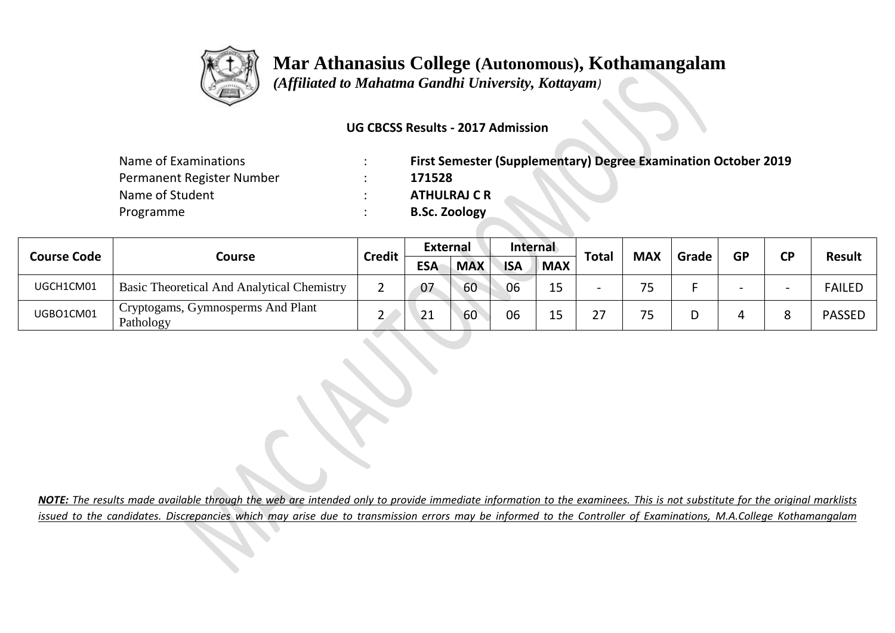

 *(Affiliated to Mahatma Gandhi University, Kottayam)*

#### **UG CBCSS Results - 2017 Admission**

| Name of Examinations      | First Semester (Supplementary) Degree Examination October 2019 |
|---------------------------|----------------------------------------------------------------|
| Permanent Register Number | 171528                                                         |
| Name of Student           | <b>ATHULRAJ C R</b>                                            |
| Programme                 | <b>B.Sc. Zoology</b>                                           |

| <b>Course Code</b> |                                                   | <b>Credit</b> | <b>External</b> |            | <b>Internal</b> |            |           |            | Grade |           | ΓD |               |
|--------------------|---------------------------------------------------|---------------|-----------------|------------|-----------------|------------|-----------|------------|-------|-----------|----|---------------|
|                    | Course                                            |               | <b>ESA</b>      | <b>MAX</b> | <b>ISA</b>      | <b>MAX</b> | Total     | <b>MAX</b> |       | <b>GP</b> |    | <b>Result</b> |
| UGCH1CM01          | <b>Basic Theoretical And Analytical Chemistry</b> |               | 07              | 60         | 06              | ر _        | -         | フロ         |       |           |    | <b>FAILED</b> |
| UGBO1CM01          | ' Cryptogams, Gymnosperms And Plant<br>Pathology  |               | 21              | 60         | 06              | ∸~         | っっ<br>، ے | フロ         |       |           |    | <b>PASSED</b> |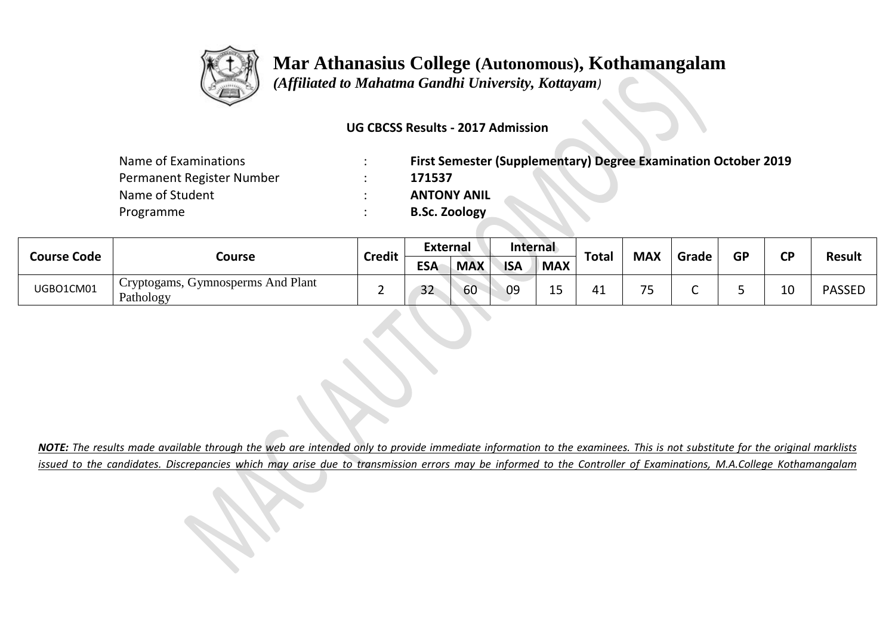

 *(Affiliated to Mahatma Gandhi University, Kottayam)*

#### **UG CBCSS Results - 2017 Admission**

| Name of Examinations      | First Semester (Supplementary) Degree Examination October 2019 |
|---------------------------|----------------------------------------------------------------|
| Permanent Register Number | 171537                                                         |
| Name of Student           | <b>ANTONY ANIL</b>                                             |
| Programme                 | <b>B.Sc. Zoology</b>                                           |

| <b>Course Code</b> |                                                             |               | <b>External</b> |            | Internal   |                                     |              |                          | <b>MAX</b><br>GP<br>Grade | ΓD |    |               |
|--------------------|-------------------------------------------------------------|---------------|-----------------|------------|------------|-------------------------------------|--------------|--------------------------|---------------------------|----|----|---------------|
|                    | Course                                                      | <b>Credit</b> | <b>ESA</b>      | <b>MAX</b> | <b>ISA</b> | <b>MAX</b>                          | <b>Total</b> |                          |                           |    |    | <b>Result</b> |
| UGBO1CM01          | <sup>1</sup> Cryptogams, Gymnosperms And Plant<br>Pathology | -             | 32              | 60         | 09         | $\overline{A}$ $\overline{C}$<br>-- | 41           | $\overline{\phantom{a}}$ |                           |    | 10 | <b>PASSED</b> |